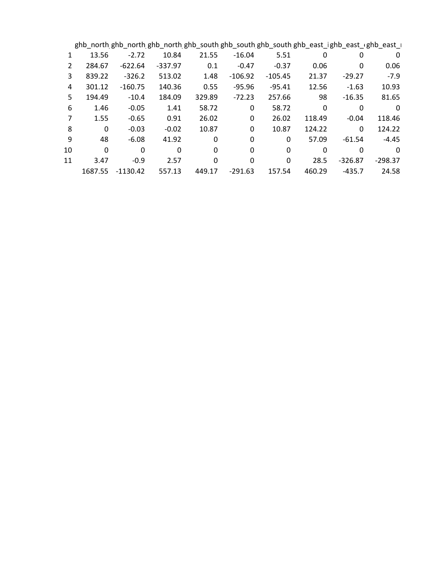|               | ghb_north ghb_north ghb_north ghb_south ghb_south ghb_south ghb_east_ighb_east_ighb_east_i |            |              |          |           |           |        |           |           |  |
|---------------|--------------------------------------------------------------------------------------------|------------|--------------|----------|-----------|-----------|--------|-----------|-----------|--|
|               | 13.56                                                                                      | $-2.72$    | 10.84        | 21.55    | $-16.04$  | 5.51      | 0      | 0         | 0         |  |
| $\mathcal{P}$ | 284.67                                                                                     | $-622.64$  | $-337.97$    | 0.1      | $-0.47$   | $-0.37$   | 0.06   | 0         | 0.06      |  |
| 3             | 839.22                                                                                     | $-326.2$   | 513.02       | 1.48     | $-106.92$ | $-105.45$ | 21.37  | $-29.27$  | $-7.9$    |  |
| 4             | 301.12                                                                                     | $-160.75$  | 140.36       | 0.55     | $-95.96$  | $-95.41$  | 12.56  | $-1.63$   | 10.93     |  |
| 5.            | 194.49                                                                                     | $-10.4$    | 184.09       | 329.89   | $-72.23$  | 257.66    | 98     | $-16.35$  | 81.65     |  |
| 6             | 1.46                                                                                       | $-0.05$    | 1.41         | 58.72    | 0         | 58.72     | 0      | 0         | 0         |  |
|               | 1.55                                                                                       | $-0.65$    | 0.91         | 26.02    | 0         | 26.02     | 118.49 | $-0.04$   | 118.46    |  |
| 8             | $\mathbf{0}$                                                                               | $-0.03$    | $-0.02$      | 10.87    | 0         | 10.87     | 124.22 | 0         | 124.22    |  |
| 9             | 48                                                                                         | $-6.08$    | 41.92        | 0        | 0         | 0         | 57.09  | $-61.54$  | $-4.45$   |  |
| 10            | $\Omega$                                                                                   | 0          | $\mathbf{0}$ | $\Omega$ | 0         | 0         | 0      | 0         | 0         |  |
| 11            | 3.47                                                                                       | $-0.9$     | 2.57         | 0        | 0         | 0         | 28.5   | $-326.87$ | $-298.37$ |  |
|               | 1687.55                                                                                    | $-1130.42$ | 557.13       | 449.17   | $-291.63$ | 157.54    | 460.29 | $-435.7$  | 24.58     |  |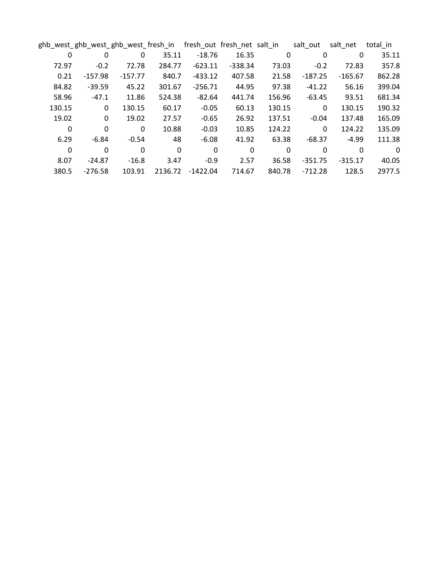|        | ghb_west_ghb_west_ghb_west_fresh_in |           |          |            | fresh_out fresh_net salt_in |        | salt_out     | salt net  | total in |
|--------|-------------------------------------|-----------|----------|------------|-----------------------------|--------|--------------|-----------|----------|
| 0      | 0                                   | 0         | 35.11    | $-18.76$   | 16.35                       | 0      | 0            | 0         | 35.11    |
| 72.97  | $-0.2$                              | 72.78     | 284.77   | $-623.11$  | $-338.34$                   | 73.03  | $-0.2$       | 72.83     | 357.8    |
| 0.21   | $-157.98$                           | $-157.77$ | 840.7    | $-433.12$  | 407.58                      | 21.58  | $-187.25$    | $-165.67$ | 862.28   |
| 84.82  | $-39.59$                            | 45.22     | 301.67   | $-256.71$  | 44.95                       | 97.38  | $-41.22$     | 56.16     | 399.04   |
| 58.96  | $-47.1$                             | 11.86     | 524.38   | $-82.64$   | 441.74                      | 156.96 | $-63.45$     | 93.51     | 681.34   |
| 130.15 | 0                                   | 130.15    | 60.17    | $-0.05$    | 60.13                       | 130.15 | $\mathbf{0}$ | 130.15    | 190.32   |
| 19.02  | 0                                   | 19.02     | 27.57    | $-0.65$    | 26.92                       | 137.51 | $-0.04$      | 137.48    | 165.09   |
| 0      | $\mathbf{0}$                        | $\Omega$  | 10.88    | $-0.03$    | 10.85                       | 124.22 | $\mathbf{0}$ | 124.22    | 135.09   |
| 6.29   | $-6.84$                             | $-0.54$   | 48       | $-6.08$    | 41.92                       | 63.38  | $-68.37$     | $-4.99$   | 111.38   |
| 0      | 0                                   | 0         | $\Omega$ | 0          | 0                           | 0      | 0            | 0         | 0        |
| 8.07   | $-24.87$                            | $-16.8$   | 3.47     | $-0.9$     | 2.57                        | 36.58  | $-351.75$    | $-315.17$ | 40.05    |
| 380.5  | $-276.58$                           | 103.91    | 2136.72  | $-1422.04$ | 714.67                      | 840.78 | $-712.28$    | 128.5     | 2977.5   |